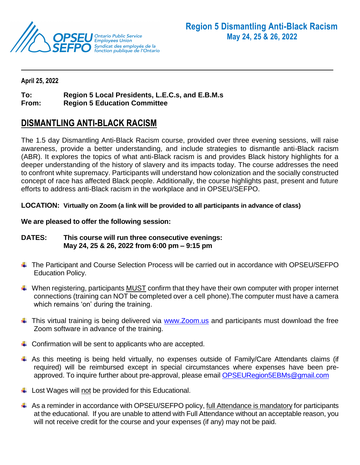

#### **April 25, 2022**

# **To: Region 5 Local Presidents, L.E.C.s, and E.B.M.s**

**From: Region 5 Education Committee**

## **DISMANTLING ANTI-BLACK RACISM**

The 1.5 day Dismantling Anti-Black Racism course, provided over three evening sessions, will raise awareness, provide a better understanding, and include strategies to dismantle anti-Black racism (ABR). It explores the topics of what anti-Black racism is and provides Black history highlights for a deeper understanding of the history of slavery and its impacts today. The course addresses the need to confront white supremacy. Participants will understand how colonization and the socially constructed concept of race has affected Black people. Additionally, the course highlights past, present and future efforts to address anti-Black racism in the workplace and in OPSEU/SEFPO.

#### **LOCATION: Virtually on Zoom (a link will be provided to all participants in advance of class)**

#### **We are pleased to offer the following session:**

### **DATES: This course will run three consecutive evenings: May 24, 25 & 26, 2022 from 6:00 pm – 9:15 pm**

- ↓ The Participant and Course Selection Process will be carried out in accordance with OPSEU/SEFPO Education Policy.
- $\ddot{\phantom{1}}$  When registering, participants MUST confirm that they have their own computer with proper internet connections (training can NOT be completed over a cell phone).The computer must have a camera which remains 'on' during the training.
- $\ddot{\phantom{1}}$  This virtual training is being delivered via [www.Zoom.us](http://www.zoom.us/) and participants must download the free Zoom software in advance of the training.
- $\ddot{\phantom{1}}$  Confirmation will be sent to applicants who are accepted.
- As this meeting is being held virtually, no expenses outside of Family/Care Attendants claims (if required) will be reimbursed except in special circumstances where expenses have been preapproved. To inquire further about pre-approval, please email [OPSEURegion5EBMs@gmail.com](mailto:OPSEURegion5EBMs@gmail.com)
- $\downarrow$  Lost Wages will not be provided for this Educational.
- $\uparrow$  As a reminder in accordance with OPSEU/SEFPO policy, full Attendance is mandatory for participants at the educational. If you are unable to attend with Full Attendance without an acceptable reason, you will not receive credit for the course and your expenses (if any) may not be paid.